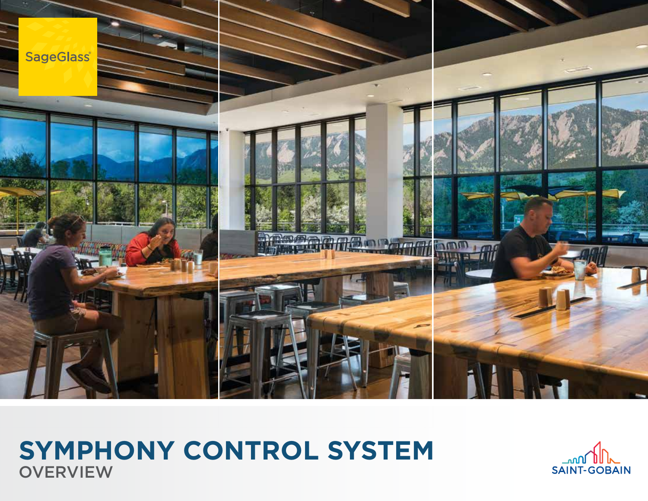

# **OVERVIEW SYMPHONY CONTROL SYSTEM**

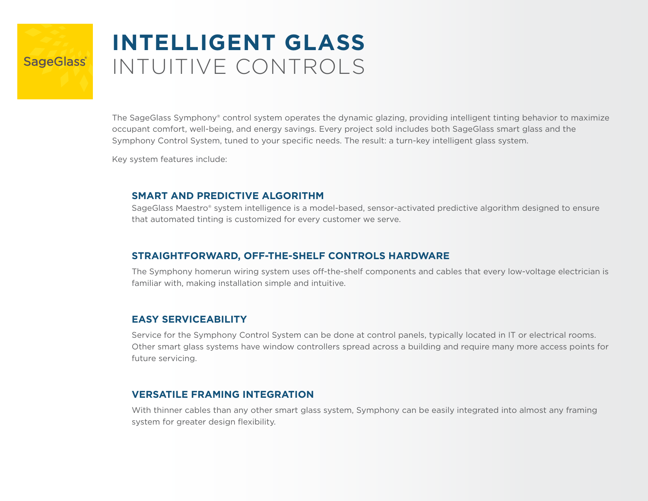# **INTELLIGENT GLASS** INTUITIVE CONTROLS

The SageGlass Symphony® control system operates the dynamic glazing, providing intelligent tinting behavior to maximize occupant comfort, well-being, and energy savings. Every project sold includes both SageGlass smart glass and the Symphony Control System, tuned to your specific needs. The result: a turn-key intelligent glass system.

Key system features include:

**SageGlass** 

#### **SMART AND PREDICTIVE ALGORITHM**

SageGlass Maestro® system intelligence is a model-based, sensor-activated predictive algorithm designed to ensure that automated tinting is customized for every customer we serve.

### **STRAIGHTFORWARD, OFF-THE-SHELF CONTROLS HARDWARE**

The Symphony homerun wiring system uses off-the-shelf components and cables that every low-voltage electrician is familiar with, making installation simple and intuitive.

### **EASY SERVICEABILITY**

Service for the Symphony Control System can be done at control panels, typically located in IT or electrical rooms. Other smart glass systems have window controllers spread across a building and require many more access points for future servicing.

#### **VERSATILE FRAMING INTEGRATION**

With thinner cables than any other smart glass system, Symphony can be easily integrated into almost any framing system for greater design flexibility.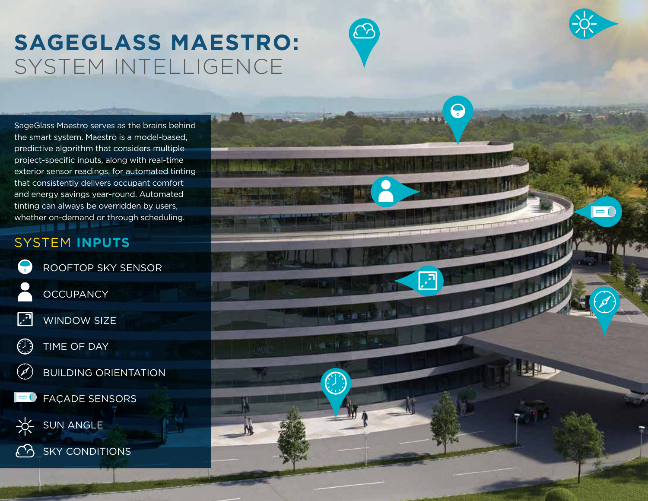# **SAGEGLASS MAESTRO:** SYSTEM INTELLIGENCE

SageGlass Maestro serves as the brains behind the smart system. Maestro is a model-based, predictive algorithm that considers multiple project-specific inputs, along with real-time exterior sensor readings, for automated tinting that consistently delivers occupant comfort and energy savings year-round. Automated tinting can always be overridden by users, whether on-demand or through scheduling.

## SYSTEM **INPUTS**

 $\bullet$ ROOFTOP SKY SENSOR **OCCUPANCY ৰি** WINDOW SIZE  $\bigcirc$ TIME OF DAY BUILDING ORIENTATION  $(\mathscr{A})$ FAÇADE SENSORS SUN ANGLE SKY CONDITIONS

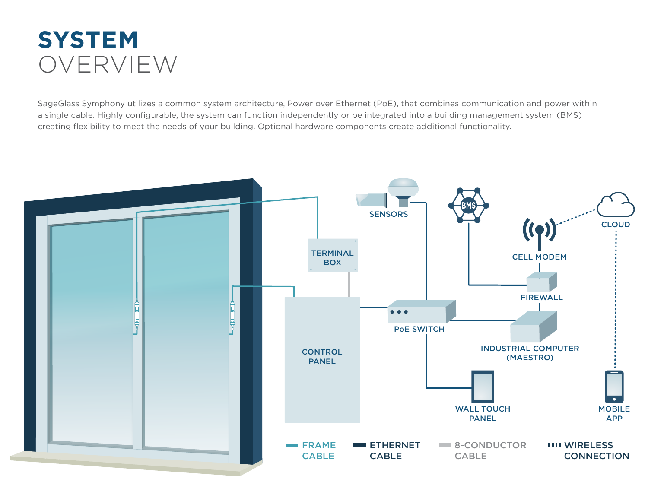# **SYSTEM** OVERVIEW

SageGlass Symphony utilizes a common system architecture, Power over Ethernet (PoE), that combines communication and power within a single cable. Highly configurable, the system can function independently or be integrated into a building management system (BMS) creating flexibility to meet the needs of your building. Optional hardware components create additional functionality.

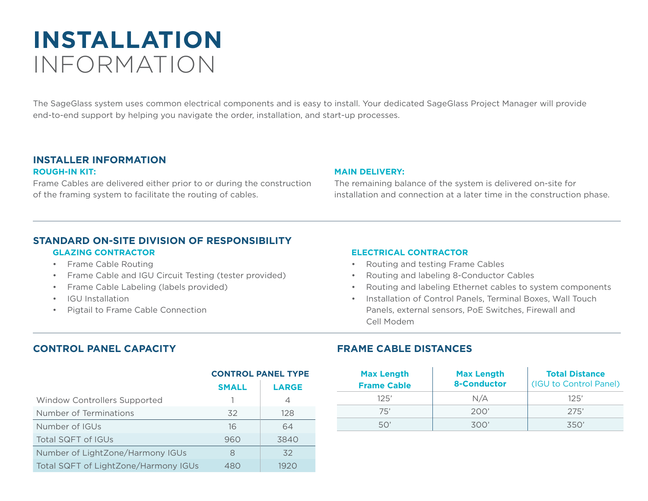# **INSTALLATION** INFORMATION

The SageGlass system uses common electrical components and is easy to install. Your dedicated SageGlass Project Manager will provide end-to-end support by helping you navigate the order, installation, and start-up processes.

### **INSTALLER INFORMATION**

#### **ROUGH-IN KIT:**

Frame Cables are delivered either prior to or during the construction of the framing system to facilitate the routing of cables.

#### **MAIN DELIVERY:**

The remaining balance of the system is delivered on-site for installation and connection at a later time in the construction phase.

### **STANDARD ON-SITE DIVISION OF RESPONSIBILITY**

#### **GLAZING CONTRACTOR**

- Frame Cable Routing
- Frame Cable and IGU Circuit Testing (tester provided)
- Frame Cable Labeling (labels provided)
- IGU Installation
- Pigtail to Frame Cable Connection

#### **ELECTRICAL CONTRACTOR**

- Routing and testing Frame Cables
- Routing and labeling 8-Conductor Cables
- Routing and labeling Ethernet cables to system components
- Installation of Control Panels, Terminal Boxes, Wall Touch Panels, external sensors, PoE Switches, Firewall and Cell Modem

#### **CONTROL PANEL CAPACITY**

|                                      | <b>CONTROL PANEL TYPE</b> |              |
|--------------------------------------|---------------------------|--------------|
|                                      | <b>SMALL</b>              | <b>LARGE</b> |
| Window Controllers Supported         |                           | 4            |
| Number of Terminations               | 32                        | 128          |
| Number of IGUs                       | 16                        | 64           |
| Total SQFT of IGUs                   | 960                       | 3840         |
| Number of LightZone/Harmony IGUs     | 8                         | 32           |
| Total SQFT of LightZone/Harmony IGUs | 480                       | 1920         |

### **FRAME CABLE DISTANCES**

| <b>Max Length</b><br><b>Frame Cable</b> | <b>Max Length</b><br><b>8-Conductor</b> | <b>Total Distance</b><br>(IGU to Control Panel) |
|-----------------------------------------|-----------------------------------------|-------------------------------------------------|
| 125'                                    | N/A                                     | 125'                                            |
| 75'                                     | 200'                                    | 275'                                            |
| 50'                                     | 300'                                    | ス50'                                            |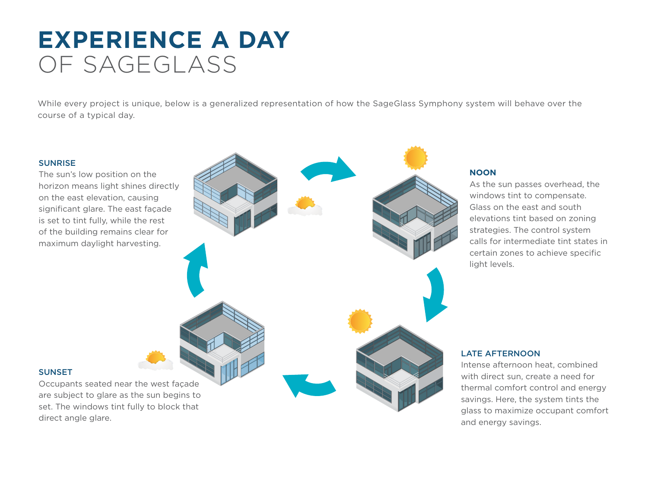# **EXPERIENCE A DAY**  OF SAGEGLASS

While every project is unique, below is a generalized representation of how the SageGlass Symphony system will behave over the course of a typical day.

#### **SUNRISE**

The sun's low position on the horizon means light shines directly on the east elevation, causing significant glare. The east façade is set to tint fully, while the rest of the building remains clear for maximum daylight harvesting.

#### **NOON**

As the sun passes overhead, the windows tint to compensate. Glass on the east and south elevations tint based on zoning strategies. The control system calls for intermediate tint states in certain zones to achieve specific light levels.

#### **SUNSET**

Occupants seated near the west façade are subject to glare as the sun begins to set. The windows tint fully to block that direct angle glare.

#### LATE AFTERNOON

Intense afternoon heat, combined with direct sun, create a need for thermal comfort control and energy savings. Here, the system tints the glass to maximize occupant comfort and energy savings.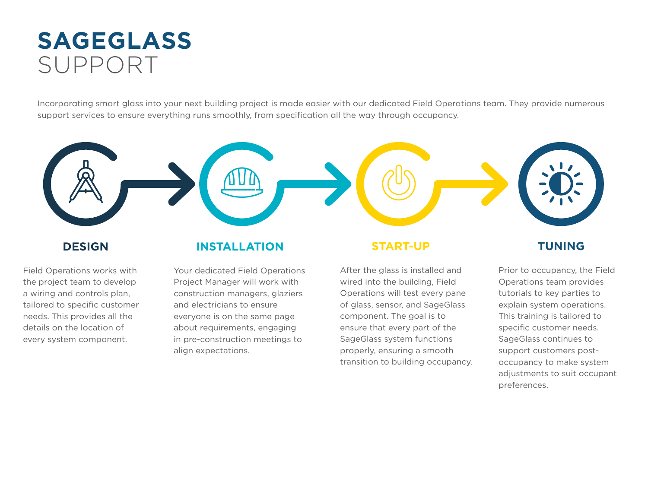# **SAGEGLASS** SUPPORT

Incorporating smart glass into your next building project is made easier with our dedicated Field Operations team. They provide numerous support services to ensure everything runs smoothly, from specification all the way through occupancy.



### **DESIGN**

Field Operations works with the project team to develop a wiring and controls plan, tailored to specific customer needs. This provides all the details on the location of every system component.

### **INSTALLATION**

Your dedicated Field Operations Project Manager will work with construction managers, glaziers and electricians to ensure everyone is on the same page about requirements, engaging in pre-construction meetings to align expectations.

### **START-UP**

After the glass is installed and wired into the building, Field Operations will test every pane of glass, sensor, and SageGlass component. The goal is to ensure that every part of the SageGlass system functions properly, ensuring a smooth transition to building occupancy.

### **TUNING**

Prior to occupancy, the Field Operations team provides tutorials to key parties to explain system operations. This training is tailored to specific customer needs. SageGlass continues to support customers postoccupancy to make system adjustments to suit occupant preferences.